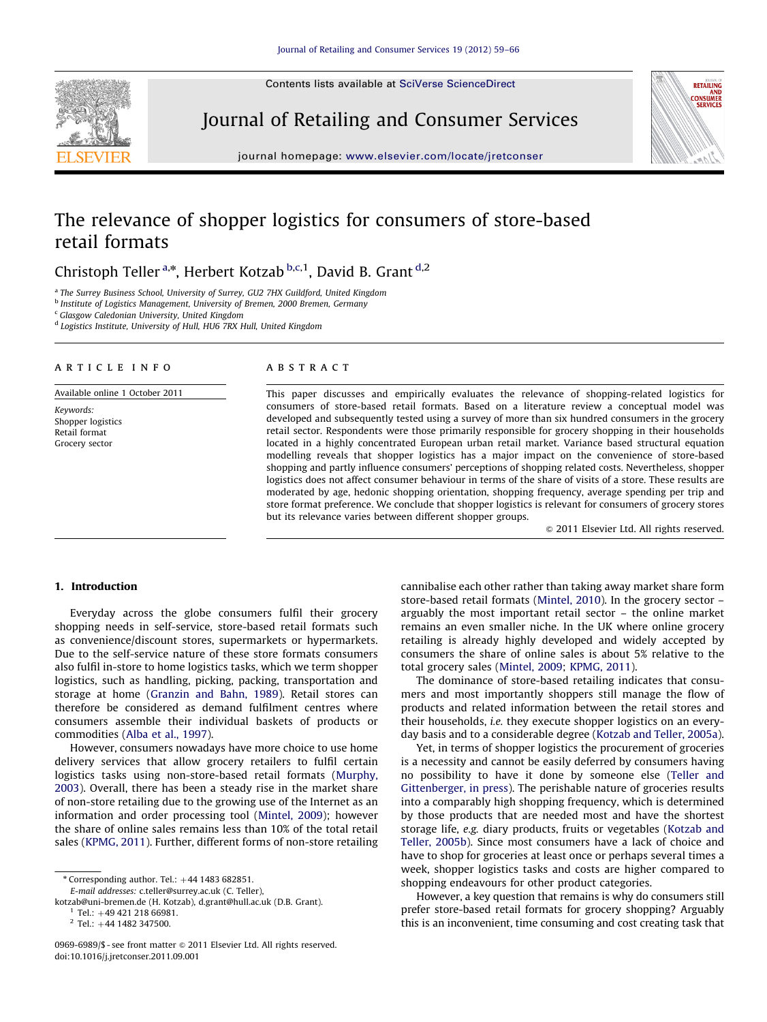Contents lists available at [SciVerse ScienceDirect](www.elsevier.com/locate/jretconser)



Journal of Retailing and Consumer Services



journal homepage: <www.elsevier.com/locate/jretconser>

## The relevance of shopper logistics for consumers of store-based retail formats

Christoph Teller<sup>a,\*</sup>, Herbert Kotzab b,c,1, David B. Grant <sup>d,2</sup>

<sup>a</sup> The Surrey Business School, University of Surrey, GU2 7HX Guildford, United Kingdom

<sup>b</sup> Institute of Logistics Management, University of Bremen, 2000 Bremen, Germany

<sup>c</sup> Glasgow Caledonian University, United Kingdom

<sup>d</sup> Logistics Institute, University of Hull, HU6 7RX Hull, United Kingdom

#### article info

Available online 1 October 2011

Keywords: Shopper logistics Retail format Grocery sector

## ABSTRACT

This paper discusses and empirically evaluates the relevance of shopping-related logistics for consumers of store-based retail formats. Based on a literature review a conceptual model was developed and subsequently tested using a survey of more than six hundred consumers in the grocery retail sector. Respondents were those primarily responsible for grocery shopping in their households located in a highly concentrated European urban retail market. Variance based structural equation modelling reveals that shopper logistics has a major impact on the convenience of store-based shopping and partly influence consumers' perceptions of shopping related costs. Nevertheless, shopper logistics does not affect consumer behaviour in terms of the share of visits of a store. These results are moderated by age, hedonic shopping orientation, shopping frequency, average spending per trip and store format preference. We conclude that shopper logistics is relevant for consumers of grocery stores but its relevance varies between different shopper groups.

 $@$  2011 Elsevier Ltd. All rights reserved.

## 1. Introduction

Everyday across the globe consumers fulfil their grocery shopping needs in self-service, store-based retail formats such as convenience/discount stores, supermarkets or hypermarkets. Due to the self-service nature of these store formats consumers also fulfil in-store to home logistics tasks, which we term shopper logistics, such as handling, picking, packing, transportation and storage at home [\(Granzin and Bahn, 1989](#page--1-0)). Retail stores can therefore be considered as demand fulfilment centres where consumers assemble their individual baskets of products or commodities [\(Alba et al., 1997\)](#page--1-0).

However, consumers nowadays have more choice to use home delivery services that allow grocery retailers to fulfil certain logistics tasks using non-store-based retail formats [\(Murphy,](#page--1-0) [2003\)](#page--1-0). Overall, there has been a steady rise in the market share of non-store retailing due to the growing use of the Internet as an information and order processing tool ([Mintel, 2009\)](#page--1-0); however the share of online sales remains less than 10% of the total retail sales [\(KPMG, 2011](#page--1-0)). Further, different forms of non-store retailing

[kotzab@uni-bremen.de \(H. Kotzab\),](mailto:kotzab@uni-bremen.de) [d.grant@hull.ac.uk \(D.B. Grant\)](mailto:d.grant@hull.ac.uk).

cannibalise each other rather than taking away market share form store-based retail formats [\(Mintel, 2010\)](#page--1-0). In the grocery sector – arguably the most important retail sector – the online market remains an even smaller niche. In the UK where online grocery retailing is already highly developed and widely accepted by consumers the share of online sales is about 5% relative to the total grocery sales ([Mintel, 2009;](#page--1-0) [KPMG, 2011](#page--1-0)).

The dominance of store-based retailing indicates that consumers and most importantly shoppers still manage the flow of products and related information between the retail stores and their households, i.e. they execute shopper logistics on an everyday basis and to a considerable degree [\(Kotzab and Teller, 2005a\)](#page--1-0).

Yet, in terms of shopper logistics the procurement of groceries is a necessity and cannot be easily deferred by consumers having no possibility to have it done by someone else [\(Teller and](#page--1-0) [Gittenberger, in press\)](#page--1-0). The perishable nature of groceries results into a comparably high shopping frequency, which is determined by those products that are needed most and have the shortest storage life, e.g. diary products, fruits or vegetables ([Kotzab and](#page--1-0) [Teller, 2005b](#page--1-0)). Since most consumers have a lack of choice and have to shop for groceries at least once or perhaps several times a week, shopper logistics tasks and costs are higher compared to shopping endeavours for other product categories.

However, a key question that remains is why do consumers still prefer store-based retail formats for grocery shopping? Arguably this is an inconvenient, time consuming and cost creating task that

 $%$  Corresponding author. Tel.:  $+44$  1483 682851.

E-mail addresses: [c.teller@surrey.ac.uk \(C. Teller\),](mailto:c.teller@surrey.ac.uk)

 $1$  Tel.:  $+49$  421 218 66981.

 $2$  Tel.: +44 1482 347500.

<sup>0969-6989/\$ -</sup> see front matter  $\odot$  2011 Elsevier Ltd. All rights reserved. doi:[10.1016/j.jretconser.2011.09.001](dx.doi.org/10.1016/j.jretconser.2011.09.001)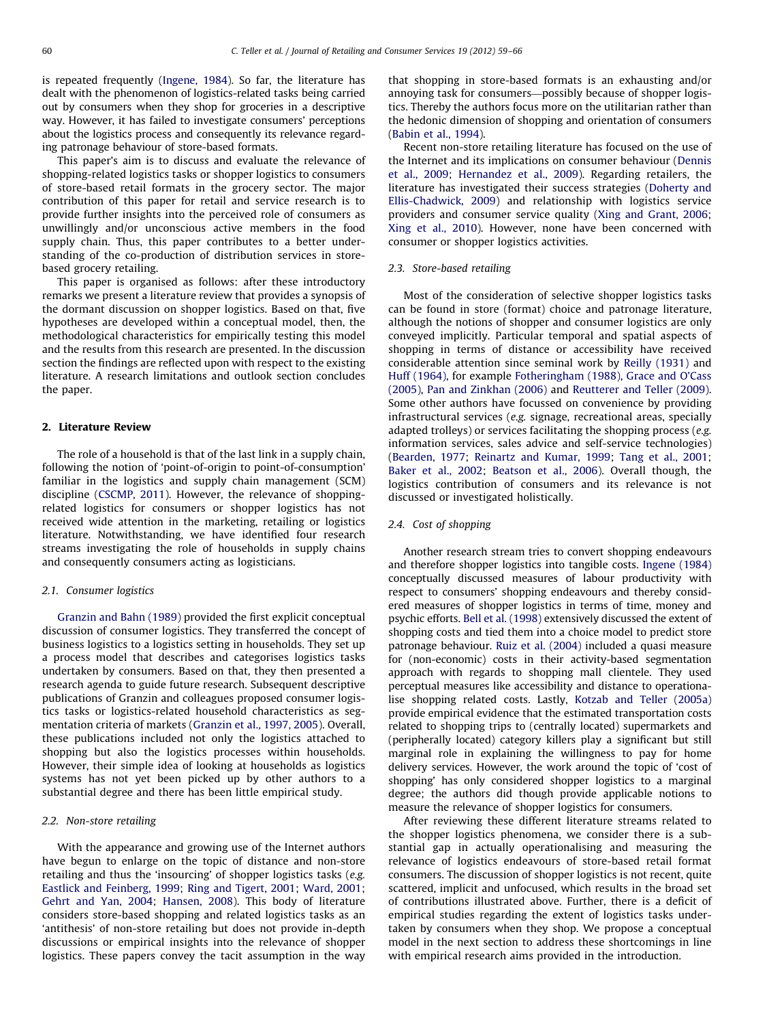is repeated frequently [\(Ingene, 1984\)](#page--1-0). So far, the literature has dealt with the phenomenon of logistics-related tasks being carried out by consumers when they shop for groceries in a descriptive way. However, it has failed to investigate consumers' perceptions about the logistics process and consequently its relevance regarding patronage behaviour of store-based formats.

This paper's aim is to discuss and evaluate the relevance of shopping-related logistics tasks or shopper logistics to consumers of store-based retail formats in the grocery sector. The major contribution of this paper for retail and service research is to provide further insights into the perceived role of consumers as unwillingly and/or unconscious active members in the food supply chain. Thus, this paper contributes to a better understanding of the co-production of distribution services in storebased grocery retailing.

This paper is organised as follows: after these introductory remarks we present a literature review that provides a synopsis of the dormant discussion on shopper logistics. Based on that, five hypotheses are developed within a conceptual model, then, the methodological characteristics for empirically testing this model and the results from this research are presented. In the discussion section the findings are reflected upon with respect to the existing literature. A research limitations and outlook section concludes the paper.

## 2. Literature Review

The role of a household is that of the last link in a supply chain, following the notion of 'point-of-origin to point-of-consumption' familiar in the logistics and supply chain management (SCM) discipline [\(CSCMP, 2011](#page--1-0)). However, the relevance of shoppingrelated logistics for consumers or shopper logistics has not received wide attention in the marketing, retailing or logistics literature. Notwithstanding, we have identified four research streams investigating the role of households in supply chains and consequently consumers acting as logisticians.

#### 2.1. Consumer logistics

[Granzin and Bahn \(1989\)](#page--1-0) provided the first explicit conceptual discussion of consumer logistics. They transferred the concept of business logistics to a logistics setting in households. They set up a process model that describes and categorises logistics tasks undertaken by consumers. Based on that, they then presented a research agenda to guide future research. Subsequent descriptive publications of Granzin and colleagues proposed consumer logistics tasks or logistics-related household characteristics as segmentation criteria of markets ([Granzin et al., 1997, 2005](#page--1-0)). Overall, these publications included not only the logistics attached to shopping but also the logistics processes within households. However, their simple idea of looking at households as logistics systems has not yet been picked up by other authors to a substantial degree and there has been little empirical study.

## 2.2. Non-store retailing

With the appearance and growing use of the Internet authors have begun to enlarge on the topic of distance and non-store retailing and thus the 'insourcing' of shopper logistics tasks (e.g. [Eastlick and Feinberg, 1999;](#page--1-0) [Ring and Tigert, 2001;](#page--1-0) [Ward, 2001;](#page--1-0) [Gehrt and Yan, 2004;](#page--1-0) [Hansen, 2008](#page--1-0)). This body of literature considers store-based shopping and related logistics tasks as an 'antithesis' of non-store retailing but does not provide in-depth discussions or empirical insights into the relevance of shopper logistics. These papers convey the tacit assumption in the way that shopping in store-based formats is an exhausting and/or annoying task for consumers—possibly because of shopper logistics. Thereby the authors focus more on the utilitarian rather than the hedonic dimension of shopping and orientation of consumers ([Babin et al., 1994](#page--1-0)).

Recent non-store retailing literature has focused on the use of the Internet and its implications on consumer behaviour [\(Dennis](#page--1-0) [et al., 2009](#page--1-0); [Hernandez et al., 2009](#page--1-0)). Regarding retailers, the literature has investigated their success strategies [\(Doherty and](#page--1-0) [Ellis-Chadwick, 2009](#page--1-0)) and relationship with logistics service providers and consumer service quality ([Xing and Grant, 2006;](#page--1-0) [Xing et al., 2010\)](#page--1-0). However, none have been concerned with consumer or shopper logistics activities.

## 2.3. Store-based retailing

Most of the consideration of selective shopper logistics tasks can be found in store (format) choice and patronage literature, although the notions of shopper and consumer logistics are only conveyed implicitly. Particular temporal and spatial aspects of shopping in terms of distance or accessibility have received considerable attention since seminal work by [Reilly \(1931\)](#page--1-0) and [Huff \(1964\),](#page--1-0) for example [Fotheringham \(1988\)](#page--1-0), [Grace and O'Cass](#page--1-0) [\(2005\),](#page--1-0) [Pan and Zinkhan \(2006\)](#page--1-0) and [Reutterer and Teller \(2009\).](#page--1-0) Some other authors have focussed on convenience by providing infrastructural services (e.g. signage, recreational areas, specially adapted trolleys) or services facilitating the shopping process (e.g. information services, sales advice and self-service technologies) ([Bearden, 1977](#page--1-0); [Reinartz and Kumar, 1999](#page--1-0); [Tang et al., 2001;](#page--1-0) [Baker et al., 2002;](#page--1-0) [Beatson et al., 2006](#page--1-0)). Overall though, the logistics contribution of consumers and its relevance is not discussed or investigated holistically.

## 2.4. Cost of shopping

Another research stream tries to convert shopping endeavours and therefore shopper logistics into tangible costs. [Ingene \(1984\)](#page--1-0) conceptually discussed measures of labour productivity with respect to consumers' shopping endeavours and thereby considered measures of shopper logistics in terms of time, money and psychic efforts. [Bell et al. \(1998\)](#page--1-0) extensively discussed the extent of shopping costs and tied them into a choice model to predict store patronage behaviour. [Ruiz et al. \(2004\)](#page--1-0) included a quasi measure for (non-economic) costs in their activity-based segmentation approach with regards to shopping mall clientele. They used perceptual measures like accessibility and distance to operationalise shopping related costs. Lastly, [Kotzab and Teller \(2005a\)](#page--1-0) provide empirical evidence that the estimated transportation costs related to shopping trips to (centrally located) supermarkets and (peripherally located) category killers play a significant but still marginal role in explaining the willingness to pay for home delivery services. However, the work around the topic of 'cost of shopping' has only considered shopper logistics to a marginal degree; the authors did though provide applicable notions to measure the relevance of shopper logistics for consumers.

After reviewing these different literature streams related to the shopper logistics phenomena, we consider there is a substantial gap in actually operationalising and measuring the relevance of logistics endeavours of store-based retail format consumers. The discussion of shopper logistics is not recent, quite scattered, implicit and unfocused, which results in the broad set of contributions illustrated above. Further, there is a deficit of empirical studies regarding the extent of logistics tasks undertaken by consumers when they shop. We propose a conceptual model in the next section to address these shortcomings in line with empirical research aims provided in the introduction.